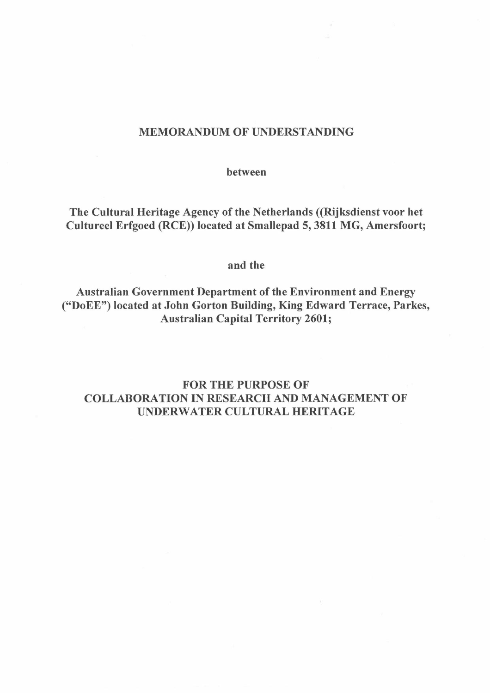# MEMORANDUM OF UNDERSTANDING

between

The Cultural Heritage Agency of the Netherlands ((Rijksdienst voor het Cultureel Erfgoed (RCE)) located at Smallepad 5,3811 MG, Amersfoort;

### and the

Australian Government Department of the Environment and Energy ("DoEE") located at John Gorton Building, King Edward Terrace, Parkes, Australian Capital Territory 2601;

# FOR THE PURPOSE OF COLLABORATION IN RESEARCH AND MANAGEMENT OF UNDERWATER CULTURAL HERITAGE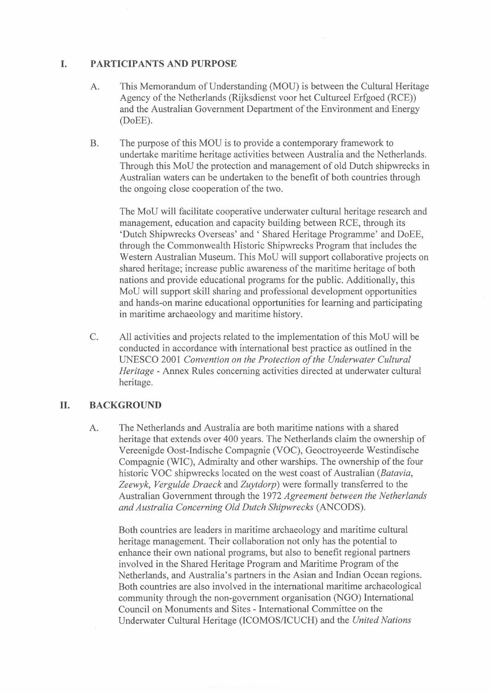### **I. PARTICIPANTS AND PURPOSE**

- A. This Memorandum of Understanding (MOU) is between the Cultural Heritage Agency of the Netherlands (Rijksdienst voor het Cultureel Erfgoed (RCE)) and the Australian Government Department of the Environment and Energy (DoEE).
- B. The purpose of this MOU is to provide a contemporary framework to undertake maritime heritage activities between Australia and the Netherlands. Through this MoU the protection and management of old Dutch shipwrecks in Australian waters can be undertaken to the benefit of both countries through the ongoing close cooperation of the two.

The MoU will facilitate cooperative underwater cultural heritage research and management, education and capacity building between RCE, through its 'Dutch Shipwrecks Overseas' and' Shared Heritage Programme' and DoEE, through the Commonwealth Historic Shipwrecks Program that includes the Western Australian Museum. This MoU will support collaborative projects on shared heritage; increase public awareness of the maritime heritage of both nations and provide educational programs for the public. Additionally, this MoU will support skill sharing and professional development opportunities and hands-on marine educational opportunities for learning and participating in maritime archaeology and maritime history.

C. All activities and projects related to the implementation of this MoU will be conducted in accordance with international best practice as outlined in the UNESCO 2001 *Convention on the Protection of the Underwater Cultural Heritage -* Annex Rules concerning activities directed at underwater cultural heritage.

## **II. BACKGROUND**

A. The Netherlands and Australia are both maritime nations with a shared heritage that extends over 400 years. The Netherlands claim the ownership of Vereenigde Oost-Indische Compagnie (VOC), Geoctroyeerde Westindische Compagnie (WIC), Admiralty and other warships. The ownership of the four historic VOC shipwrecks located on the west coast of Australian *(Batavia, Zeewyk, Vergulde Draeck* and *Zuytdorp)* were formally transferred to the Australian Government through the 1972 *Agreement between the Netherlands and Australia Concerning Old Dutch Shipwrecks* (ANCODS).

Both countries are leaders in maritime archaeology and maritime cultural heritage management. Their collaboration not only has the potential to enhance their own national programs, but also to benefit regional partners involved in the Shared Heritage Program and Maritime Program of the Netherlands, and Australia's partners in the Asian and Indian Ocean regions. Both countries are also involved in the international maritime archaeological community through the non-government organisation (NGO) International Council on Monuments and Sites - International Committee on the Underwater Cultural Heritage (lCOMOS/ICUCH) and the *United Nations*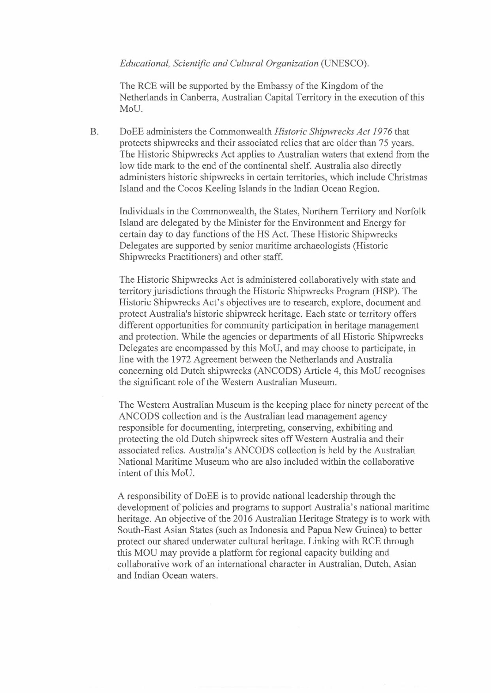#### *Educational, Scientific and Cultural Organization* (UNESCO).

The RCE will be supported by the Embassy of the Kingdom of the Netherlands in Canberra, Australian Capital Territory in the execution of this MoU.

B. DoEE administers the Commonwealth *Historic Shipwrecks Act* 1976 that protects shipwrecks and their associated relics that are older than 75 years. The Historic Shipwrecks Act applies to Australian waters that extend from the low tide mark to the end of the continental shelf. Australia also directly administers historic shipwrecks in certain territories, which include Christmas Island and the Cocos Keeling Islands in the Indian Ocean Region.

Individuals in the Commonwealth, the States, Northern Territory and Norfolk Island are delegated by the Minister for the Environment and Energy for certain day to day functions of the HS Act. These Historic Shipwrecks Delegates are supported by senior maritime archaeologists (Historic Shipwrecks Practitioners) and other staff.

The Historic Shipwrecks Act is administered collaboratively with state and territory jurisdictions through the Historic Shipwrecks Program (HSP). The Historic Shipwrecks Act's objectives are to research, explore, document and protect Australia's historic shipwreck heritage. Each state or territory offers different opportunities for community participation in heritage management and protection. While the agencies or departments of all Historic Shipwrecks Delegates are encompassed by this MoU, and may choose to participate, in line with the 1972 Agreement between the Netherlands and Australia concerning old Dutch shipwrecks (ANCODS) Article 4, this MoU recognises the significant role of the Western Australian Museum.

The Western Australian Museum is the keeping place for ninety percent of the ANCODS collection and is the Australian lead management agency responsible for documenting, interpreting, conserving, exhibiting and protecting the old Dutch shipwreck sites off Western Australia and their associated relics. Australia's ANCODS collection is held by the Australian National Maritime Museum who are also included within the collaborative intent of this MoU.

A responsibility of DoEE is to provide national leadership through the development of policies and programs to support Australia's national maritime heritage. An objective of the 2016 Australian Heritage Strategy is to work with South-East Asian States (such as Indonesia and Papua New Guinea) to better protect our shared underwater cultural heritage. Linking with RCE through this MOU may provide a platform for regional capacity building and collaborative work of an international character in Australian, Dutch, Asian and Indian Ocean waters.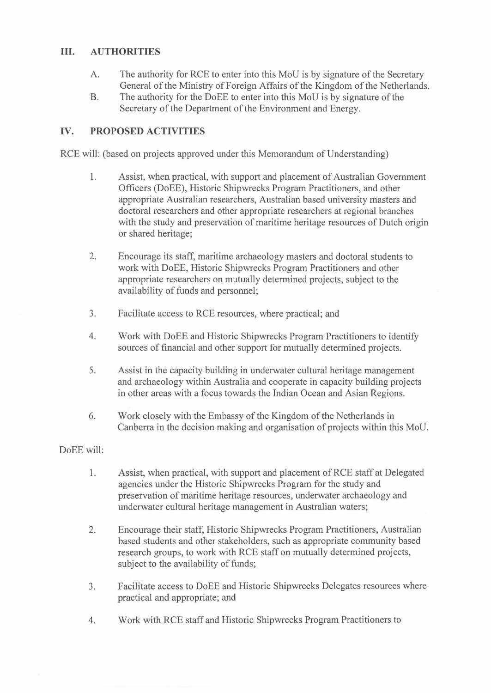# **III. AUTHORITIES**

- A. The authority for RCE to enter into this MoU is by signature of the Secretary General of the Ministry of Foreign Affairs of the Kingdom of the Netherlands.
- B. The authority for the DoEE to enter into this MoU is by signature of the Secretary of the Department of the Environment and Energy.

# **IV. PROPOSED ACTIVITIES**

RCE will: (based on projects approved under this Memorandum of Understanding)

- 1. Assist, when practical, with support and placement of Australian Government Officers (DoEE), Historic Shipwrecks Program Practitioners, and other appropriate Australian researchers, Australian based university masters and doctoral researchers and other appropriate researchers at regional branches with the study and preservation of maritime heritage resources of Dutch origin or shared heritage;
- 2. Encourage its staff, maritime archaeology masters and doctoral students to work with DoEE, Historic Shipwrecks Program Practitioners and other appropriate researchers on mutually determined projects, subject to the availability of funds and personnel;
- 3. Facilitate access to RCE resources, where practical; and
- 4. Work with DoEE and Historic Shipwrecks Program Practitioners to identify sources of financial and other support for mutually determined projects.
- 5. Assist in the capacity building in underwater cultural heritage management and archaeology within Australia and cooperate in capacity building projects in other areas with a focus towards the Indian Ocean and Asian Regions.
- 6. Work closely with the Embassy of the Kingdom of the Netherlands in Canberra in the decision making and organisation of projects within this MoU.

### DoEE will:

- 1. Assist, when practical, with support and placement of RCE staff at Delegated agencies under the Historic Shipwrecks Program for the study and preservation of maritime heritage resources, underwater archaeology and underwater cultural heritage management in Australian waters;
- 2. Encourage their staff, Historic Shipwrecks Program Practitioners, Australian based students and other stakeholders, such as appropriate community based research groups, to work with RCE staff on mutually determined projects, subject to the availability of funds;
- 3. Facilitate access to DoEE and Historic Shipwrecks Delegates resources where practical and appropriate; and
- 4. Work with RCE staff and Historic Shipwrecks Program Practitioners to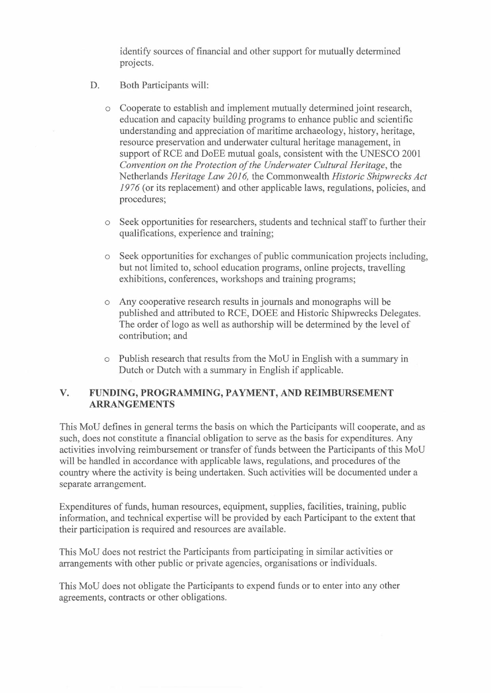identify sources of financial and other support for mutually determined projects.

- D. Both Participants will:
	- o Cooperate to establish and implement mutually determined joint research, education and capacity building programs to enhance public and scientific understanding and appreciation of maritime archaeology, history, heritage, resource preservation and underwater cultural heritage management, in support of RCE and DoEE mutual goals, consistent with the UNESCO 2001 *Convention on the Protection of the Underwater Cultural Heritage,* the Netherlands *Heritage Law 2016,* the Commonwealth *Historic Shipwrecks Act*  1976 (or its replacement) and other applicable laws, regulations, policies, and procedures;
	- o Seek opportunities for researchers, students and technical staff to further their qualifications, experience and training;
	- Seek opportunities for exchanges of public communication projects including, but not limited to, school education programs, online projects, travelling exhibitions, conferences, workshops and training programs;
	- o Any cooperative research results in journals and monographs will be published and attributed to RCE, DOEE and Historic Shipwrecks Delegates. The order of logo as well as authorship will be determined by the level of contribution; and
	- o Publish research that results from the MoU in English with a summary in Dutch or Dutch with a summary in English if applicable.

## **V. FUNDING, PROGRAMMING, PAYMENT, AND REIMBURSEMENT ARRANGEMENTS**

This MoU defines in general terms the basis on which the Participants will cooperate, and as such, does not constitute a financial obligation to serve as the basis for expenditures. Any activities involving reimbursement or transfer of funds between the Participants of this MoU will be handled in accordance with applicable laws, regulations, and procedures of the country where the activity is being undertaken. Such activities will be documented under a separate arrangement.

Expenditures of funds, human resources, equipment, supplies, facilities, training, public information, and technical expertise will be provided by each Participant to the extent that their participation is required and resources are available.

This MoU does not restrict the Participants from participating in similar activities or arrangements with other public or private agencies, organisations or individuals.

This MoU does not obligate the Participants to expend funds or to enter into any other agreements, contracts or other obligations.